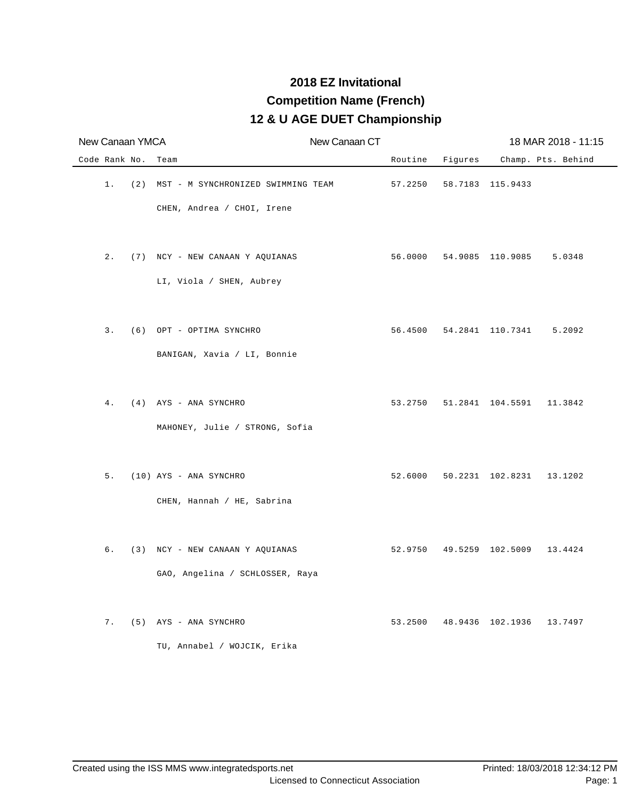## **12 & U AGE DUET Championship 2018 EZ Invitational Competition Name (French)**

| New Canaan YMCA |                                                             | New Canaan CT |         |         | 18 MAR 2018 - 11:15              |                    |
|-----------------|-------------------------------------------------------------|---------------|---------|---------|----------------------------------|--------------------|
| Code Rank No.   | Team                                                        |               | Routine | Figures |                                  | Champ. Pts. Behind |
| $1$ .           | (2) MST - M SYNCHRONIZED SWIMMING TEAM                      |               | 57.2250 |         | 58.7183 115.9433                 |                    |
|                 | CHEN, Andrea / CHOI, Irene                                  |               |         |         |                                  |                    |
| 2.              | (7) NCY - NEW CANAAN Y AQUIANAS<br>LI, Viola / SHEN, Aubrey |               |         |         | 56.0000 54.9085 110.9085         | 5.0348             |
| 3.              | (6) OPT - OPTIMA SYNCHRO                                    |               | 56.4500 |         | 54.2841 110.7341                 | 5.2092             |
| $4$ .           | BANIGAN, Xavia / LI, Bonnie<br>(4) AYS - ANA SYNCHRO        |               |         |         | 53.2750 51.2841 104.5591         | 11.3842            |
|                 | MAHONEY, Julie / STRONG, Sofia                              |               |         |         |                                  |                    |
| 5.              | (10) AYS - ANA SYNCHRO<br>CHEN, Hannah / HE, Sabrina        |               |         |         | 52.6000 50.2231 102.8231 13.1202 |                    |
| б.              | (3) NCY - NEW CANAAN Y AQUIANAS                             |               |         |         | 52.9750 49.5259 102.5009 13.4424 |                    |
|                 | GAO, Angelina / SCHLOSSER, Raya                             |               |         |         |                                  |                    |
| 7.              | (5) AYS - ANA SYNCHRO<br>TU, Annabel / WOJCIK, Erika        |               | 53.2500 |         | 48.9436 102.1936                 | 13.7497            |